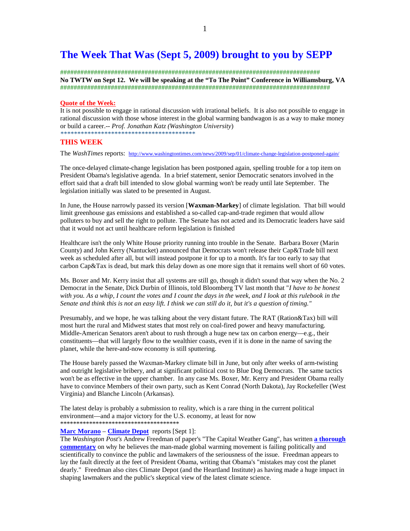# **The Week That Was (Sept 5, 2009) brought to you by SEPP**

############################################################################# **No TWTW on Sept 12. We will be speaking at the "To The Point" Conference in Williamsburg, VA**  ################################################################################

#### **Quote of the Week:**

It is not possible to engage in rational discussion with irrational beliefs. It is also not possible to engage in rational discussion with those whose interest in the global warming bandwagon is as a way to make money or build a career.-- *Prof. Jonathan Katz (Washington University*) *\*\*\*\*\*\*\*\*\*\*\*\*\*\*\*\*\*\*\*\*\*\*\*\*\*\*\*\*\*\*\*\*\*\*\*\*\*\*\*\** 

### **THIS WEEK**

The *WashTimes* reports: http://www.washingtontimes.com/news/2009/sep/01/climate-change-legislation-postponed-again/

The once-delayed climate-change legislation has been postponed again, spelling trouble for a top item on President Obama's legislative agenda. In a brief statement, senior Democratic senators involved in the effort said that a draft bill intended to slow global warming won't be ready until late September. The legislation initially was slated to be presented in August.

In June, the House narrowly passed its version [**Waxman-Markey**] of climate legislation. That bill would limit greenhouse gas emissions and established a so-called cap-and-trade regimen that would allow polluters to buy and sell the right to pollute. The Senate has not acted and its Democratic leaders have said that it would not act until healthcare reform legislation is finished

Healthcare isn't the only White House priority running into trouble in the Senate. Barbara Boxer (Marin County) and John Kerry (Nantucket) announced that Democrats won't release their Cap&Trade bill next week as scheduled after all, but will instead postpone it for up to a month. It's far too early to say that carbon Cap&Tax is dead, but mark this delay down as one more sign that it remains well short of 60 votes.

Ms. Boxer and Mr. Kerry insist that all systems are still go, though it didn't sound that way when the No. 2 Democrat in the Senate, Dick Durbin of Illinois, told Bloomberg TV last month that "*I have to be honest with you. As a whip, I count the votes and I count the days in the week, and I look at this rulebook in the Senate and think this is not an easy lift. I think we can still do it, but it's a question of timing."*

Presumably, and we hope, he was talking about the very distant future. The RAT (Ration&Tax) bill will most hurt the rural and Midwest states that most rely on coal-fired power and heavy manufacturing. Middle-American Senators aren't about to rush through a huge new tax on carbon energy—e.g., their constituents—that will largely flow to the wealthier coasts, even if it is done in the name of saving the planet, while the here-and-now economy is still sputtering.

The House barely passed the Waxman-Markey climate bill in June, but only after weeks of arm-twisting and outright legislative bribery, and at significant political cost to Blue Dog Democrats. The same tactics won't be as effective in the upper chamber. In any case Ms. Boxer, Mr. Kerry and President Obama really have to convince Members of their own party, such as Kent Conrad (North Dakota), Jay Rockefeller (West Virginia) and Blanche Lincoln (Arkansas).

The latest delay is probably a submission to reality, which is a rare thing in the current political environment—and a major victory for the U.S. economy, at least for now \*\*\*\*\*\*\*\*\*\*\*\*\*\*\*\*\*\*\*\*\*\*\*\*\*\*\*\*\*\*\*\*\*\*\*\*\*

#### **Marc Morano** – **Climate Depot** reports [Sept 1]:

The *Washington Post's* Andrew Freedman of paper's "The Capital Weather Gang", has written **a thorough commentary** on why he believes the man-made global warming movement is failing politically and scientifically to convince the public and lawmakers of the seriousness of the issue. Freedman appears to lay the fault directly at the feet of President Obama, writing that Obama's "mistakes may cost the planet dearly." Freedman also cites Climate Depot (and the Heartland Institute) as having made a huge impact in shaping lawmakers and the public's skeptical view of the latest climate science.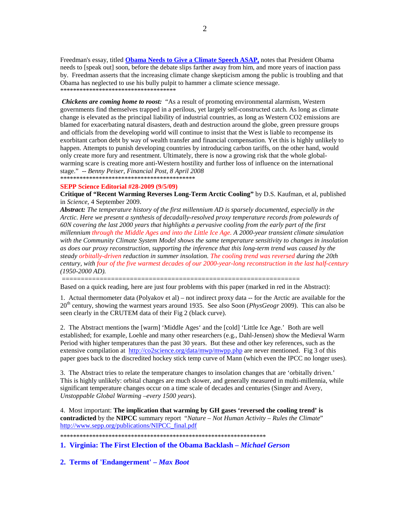Freedman's essay, titled **Obama Needs to Give a Climate Speech ASAP,** notes that President Obama needs to [speak out] soon, before the debate slips farther away from him, and more years of inaction pass by. Freedman asserts that the increasing climate change skepticism among the public is troubling and that Obama has neglected to use his bully pulpit to hammer a climate science message. \*\*\*\*\*\*\*\*\*\*\*\*\*\*\*\*\*\*\*\*\*\*\*\*\*\*\*\*\*\*\*\*\*\*\*\*

 *Chickens are coming home to roost:* "As a result of promoting environmental alarmism, Western governments find themselves trapped in a perilous, yet largely self-constructed catch. As long as climate change is elevated as the principal liability of industrial countries, as long as Western CO2 emissions are blamed for exacerbating natural disasters, death and destruction around the globe, green pressure groups and officials from the developing world will continue to insist that the West is liable to recompense its exorbitant carbon debt by way of wealth transfer and financial compensation. Yet this is highly unlikely to happen. Attempts to punish developing countries by introducing carbon tariffs, on the other hand, would only create more fury and resentment. Ultimately, there is now a growing risk that the whole globalwarming scare is creating more anti-Western hostility and further loss of influence on the international stage." -- *Benny Peiser, Financial Post, 8 April 2008*  \*\*\*\*\*\*\*\*\*\*\*\*\*\*\*\*\*\*\*\*\*\*\*\*\*\*\*\*\*\*\*\*\*\*\*\*\*\*\*\*\*\*

#### **SEPP Science Editorial #28-2009 (9/5/09)**

**Critique of "Recent Warming Reverses Long-Term Arctic Cooling"** by D.S. Kaufman, et al, published in *Science*, 4 September 2009.

*Abstract: The temperature history of the first millennium AD is sparsely documented, especially in the Arctic. Here we present a synthesis of decadally-resolved proxy temperature records from polewards of 60N covering the last 2000 years that highlights a pervasive cooling from the early part of the first millennium through the Middle Ages and into the Little Ice Age. A 2000-year transient climate simulation with the Community Climate System Model shows the same temperature sensitivity to changes in insolation as does our proxy reconstruction, supporting the inference that this long-term trend was caused by the steady orbitally-driven reduction in summer insolation. The cooling trend was reversed during the 20th century, with four of the five warmest decades of our 2000-year-long reconstruction in the last half-century (1950-2000 AD).* 

===============================================================

Based on a quick reading, here are just four problems with this paper (marked in red in the Abstract):

1. Actual thermometer data (Polyakov et al) – not indirect proxy data -- for the Arctic are available for the 20th century, showing the warmest years around 1935. See also Soon (*PhysGeogr* 2009). This can also be seen clearly in the CRUTEM data of their Fig 2 (black curve).

2. The Abstract mentions the [warm] 'Middle Ages' and the [cold] 'Little Ice Age.' Both are well established; for example, Loehle and many other researchers (e.g., Dahl-Jensen) show the Medieval Warm Period with higher temperatures than the past 30 years. But these and other key references, such as the extensive compilation at http://co2science.org/data/mwp/mwpp.php are never mentioned. Fig 3 of this paper goes back to the discredited hockey stick temp curve of Mann (which even the IPCC no longer uses).

3. The Abstract tries to relate the temperature changes to insolation changes that are 'orbitally driven.' This is highly unlikely: orbital changes are much slower, and generally measured in multi-millennia, while significant temperature changes occur on a time scale of decades and centuries (Singer and Avery, *Unstoppable Global Warming –every 1500 years*).

4. Most important: **The implication that warming by GH gases 'reversed the cooling trend' is contradicted** by the **NIPCC** summary report "*Nature – Not Human Activity – Rules the Climate*" http://www.sepp.org/publications/NIPCC\_final.pdf

\*\*\*\*\*\*\*\*\*\*\*\*\*\*\*\*\*\*\*\*\*\*\*\*\*\*\*\*\*\*\*\*\*\*\*\*\*\*\*\*\*\*\*\*\*\*\*\*\*\*\*\*\*\*\*\*\*\*\*\*\*\*\*\*

**1. Virginia: The First Election of the Obama Backlash –** *Michael Gerson*

**2. Terms of 'Endangerment' –** *Max Boot*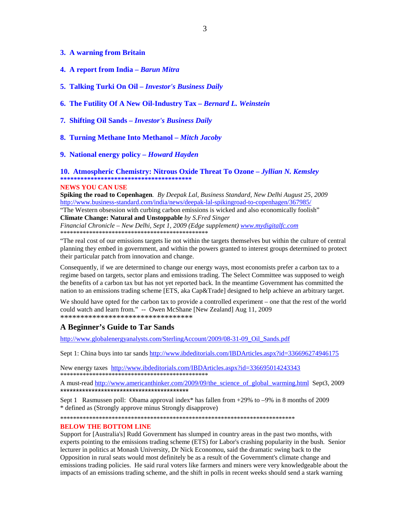### **3. A warning from Britain**

- **4. A report from India** *Barun Mitra*
- **5. Talking Turki On Oil**  *Investor's Business Daily*
- **6. The Futility Of A New Oil-Industry Tax** *Bernard L. Weinstein*
- **7***.* **Shifting Oil Sands** *Investor's Business Daily*
- **8. Turning Methane Into Methanol** *Mitch Jacoby*
- **9. National energy policy** *Howard Hayden*

#### **10. Atmospheric Chemistry: Nitrous Oxide Threat To Ozone –** *Jyllian N. Kemsley* **\*\*\*\*\*\*\*\*\*\*\*\*\*\*\*\*\*\*\*\*\*\*\*\*\*\*\*\*\*\*\*\*\*\*\*\*\*\*\***

#### **NEWS YOU CAN USE**

**Spiking the road to Copenhagen***. By Deepak Lal, Business Standard, New Delhi August 25, 2009* http://www.business-standard.com/india/news/deepak-lal-spikingroad-to-copenhagen/367985/

"The Western obsession with curbing carbon emissions is wicked and also economically foolish" **Climate Change: Natural and Unstoppable** *by S.Fred Singer* 

*Financial Chronicle – New Delhi, Sept 1, 2009 (Edge supplement) www.mydigitalfc.com*  \*\*\*\*\*\*\*\*\*\*\*\*\*\*\*\*\*\*\*\*\*\*\*\*\*\*\*\*\*\*\*\*\*\*\*\*\*\*\*\*\*\*\*\*\*\*

"The real cost of our emissions targets lie not within the targets themselves but within the culture of central planning they embed in government, and within the powers granted to interest groups determined to protect their particular patch from innovation and change.

Consequently, if we are determined to change our energy ways, most economists prefer a carbon tax to a regime based on targets, sector plans and emissions trading. The Select Committee was supposed to weigh the benefits of a carbon tax but has not yet reported back. In the meantime Government has committed the nation to an emissions trading scheme [ETS, aka Cap&Trade] designed to help achieve an arbitrary target.

We should have opted for the carbon tax to provide a controlled experiment – one that the rest of the world could watch and learn from." -- Owen McShane [New Zealand] Aug 11, 2009 \*\*\*\*\*\*\*\*\*\*\*\*\*\*\*\*\*\*\*\*\*\*\*\*\*\*\*\*\*\*\*\*\*

### **A Beginner's Guide to Tar Sands**

http://www.globalenergyanalysts.com/SterlingAccount/2009/08-31-09 Oil Sands.pdf

Sept 1: China buys into tar sands http://www.ibdeditorials.com/IBDArticles.aspx?id=336696274946175

New energy taxes http://www.ibdeditorials.com/IBDArticles.aspx?id=336695014243343 \*\*\*\*\*\*\*\*\*\*\*\*\*\*\*\*\*\*\*\*\*\*\*\*\*\*\*\*\*\*\*\*\*\*\*\*\*\*\*\*\*\*\*\*\*\*

A must-read http://www.americanthinker.com/2009/09/the\_science\_of\_global\_warming.html Sept3, 2009 \*\*\*\*\*\*\*\*\*\*\*\*\*\*\*\*\*\*\*\*\*\*\*\*\*\*\*\*\*\*\*\*\*\*\*\*\*\*\*\*\*

Sept 1 Rasmussen poll: Obama approval index\* has fallen from +29% to –9% in 8 months of 2009 \* defined as (Strongly approve minus Strongly disapprove)

\*\*\*\*\*\*\*\*\*\*\*\*\*\*\*\*\*\*\*\*\*\*\*\*\*\*\*\*\*\*\*\*\*\*\*\*\*\*\*\*\*\*\*\*\*\*\*\*\*\*\*\*\*\*\*\*\*\*\*\*\*\*\*\*\*\*\*\*\*\*\*\*\*

#### **BELOW THE BOTTOM LINE**

Support for [Australia's] Rudd Government has slumped in country areas in the past two months, with experts pointing to the emissions trading scheme (ETS) for Labor's crashing popularity in the bush. Senior lecturer in politics at Monash University, Dr Nick Economou, said the dramatic swing back to the Opposition in rural seats would most definitely be as a result of the Government's climate change and emissions trading policies. He said rural voters like farmers and miners were very knowledgeable about the impacts of an emissions trading scheme, and the shift in polls in recent weeks should send a stark warning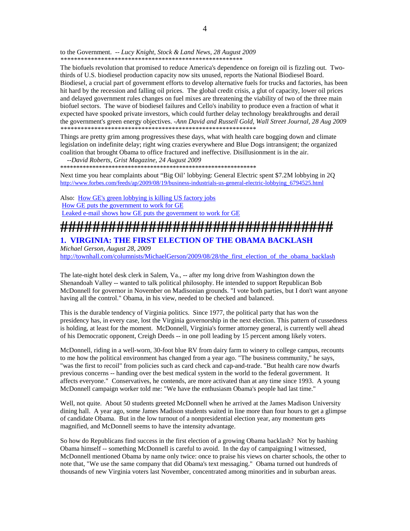to the Government. -- *Lucy Knight, Stock & Land News, 28 August 2009 \*\*\*\*\*\*\*\*\*\*\*\*\*\*\*\*\*\*\*\*\*\*\*\*\*\*\*\*\*\*\*\*\*\*\*\*\*\*\*\*\*\*\*\*\*\*\*\*\*\*\*\*\*\**

The biofuels revolution that promised to reduce America's dependence on foreign oil is fizzling out. Twothirds of U.S. biodiesel production capacity now sits unused, reports the National Biodiesel Board. Biodiesel, a crucial part of government efforts to develop alternative fuels for trucks and factories, has been hit hard by the recession and falling oil prices. The global credit crisis, a glut of capacity, lower oil prices and delayed government rules changes on fuel mixes are threatening the viability of two of the three main biofuel sectors. The wave of biodiesel failures and Cello's inability to produce even a fraction of what it expected have spooked private investors, which could further delay technology breakthroughs and derail the government's green energy objectives. *-Ann David and Russell Gold, Wall Street Journal, 28 Aug 2009 \*\*\*\*\*\*\*\*\*\*\*\*\*\*\*\*\*\*\*\*\*\*\*\*\*\*\*\*\*\*\*\*\*\*\*\*\*\*\*\*\*\*\*\*\*\*\*\*\*\*\*\*\*\*\*\*\*\**

Things are pretty grim among progressives these days, what with health care bogging down and climate legislation on indefinite delay; right wing crazies everywhere and Blue Dogs intransigent; the organized coalition that brought Obama to office fractured and ineffective. Disillusionment is in the air.

 *--David Roberts, Grist Magazine, 24 August 2009*  \*\*\*\*\*\*\*\*\*\*\*\*\*\*\*\*\*\*\*\*\*\*\*\*\*\*\*\*\*\*\*\*\*\*\*\*\*\*\*\*\*\*\*\*\*\*\*\*\*\*\*\*\*\*\*\*\*\*\*\*\*

Next time you hear complaints about "Big Oil' lobbying: General Electric spent \$7.2M lobbying in 2Q http://www.forbes.com/feeds/ap/2009/08/19/business-industrials-us-general-electric-lobbying\_6794525.html

Also: How GE's green lobbying is killing US factory jobs How GE puts the government to work for GE Leaked e-mail shows how GE puts the government to work for GE

# **################################## 1. VIRGINIA: THE FIRST ELECTION OF THE OBAMA BACKLASH**

*Michael Gerson, August 28, 2009*  http://townhall.com/columnists/MichaelGerson/2009/08/28/the\_first\_election\_of\_the\_obama\_backlash

The late-night hotel desk clerk in Salem, Va., -- after my long drive from Washington down the Shenandoah Valley -- wanted to talk political philosophy. He intended to support Republican Bob McDonnell for governor in November on Madisonian grounds. "I vote both parties, but I don't want anyone having all the control." Obama, in his view, needed to be checked and balanced.

This is the durable tendency of Virginia politics. Since 1977, the political party that has won the presidency has, in every case, lost the Virginia governorship in the next election. This pattern of cussedness is holding, at least for the moment. McDonnell, Virginia's former attorney general, is currently well ahead of his Democratic opponent, Creigh Deeds -- in one poll leading by 15 percent among likely voters.

McDonnell, riding in a well-worn, 30-foot blue RV from dairy farm to winery to college campus, recounts to me how the political environment has changed from a year ago. "The business community," he says, "was the first to recoil" from policies such as card check and cap-and-trade. "But health care now dwarfs previous concerns -- handing over the best medical system in the world to the federal government. It affects everyone." Conservatives, he contends, are more activated than at any time since 1993. A young McDonnell campaign worker told me: "We have the enthusiasm Obama's people had last time."

Well, not quite. About 50 students greeted McDonnell when he arrived at the James Madison University dining hall. A year ago, some James Madison students waited in line more than four hours to get a glimpse of candidate Obama. But in the low turnout of a nonpresidential election year, any momentum gets magnified, and McDonnell seems to have the intensity advantage.

So how do Republicans find success in the first election of a growing Obama backlash? Not by bashing Obama himself -- something McDonnell is careful to avoid. In the day of campaigning I witnessed, McDonnell mentioned Obama by name only twice: once to praise his views on charter schools, the other to note that, "We use the same company that did Obama's text messaging." Obama turned out hundreds of thousands of new Virginia voters last November, concentrated among minorities and in suburban areas.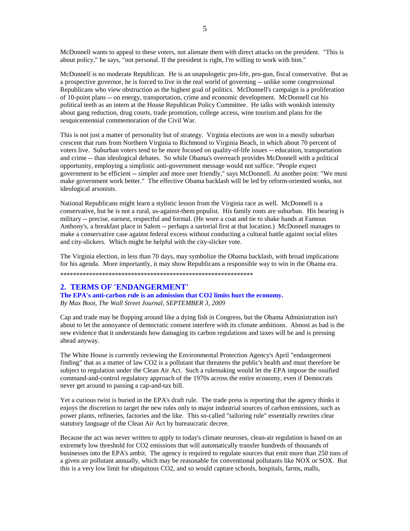McDonnell wants to appeal to these voters, not alienate them with direct attacks on the president. "This is about policy," he says, "not personal. If the president is right, I'm willing to work with him."

McDonnell is no moderate Republican. He is an unapologetic pro-life, pro-gun, fiscal conservative. But as a prospective governor, he is forced to live in the real world of governing -- unlike some congressional Republicans who view obstruction as the highest goal of politics. McDonnell's campaign is a proliferation of 10-point plans -- on energy, transportation, crime and economic development. McDonnell cut his political teeth as an intern at the House Republican Policy Committee. He talks with wonkish intensity about gang reduction, drug courts, trade promotion, college access, wine tourism and plans for the sesquicentennial commemoration of the Civil War.

This is not just a matter of personality but of strategy. Virginia elections are won in a mostly suburban crescent that runs from Northern Virginia to Richmond to Virginia Beach, in which about 70 percent of voters live. Suburban voters tend to be more focused on quality-of-life issues -- education, transportation and crime -- than ideological debates. So while Obama's overreach provides McDonnell with a political opportunity, employing a simplistic anti-government message would not suffice. "People expect government to be efficient -- simpler and more user friendly," says McDonnell. At another point: "We must make government work better." The effective Obama backlash will be led by reform-oriented wonks, not ideological arsonists.

National Republicans might learn a stylistic lesson from the Virginia race as well. McDonnell is a conservative, but he is not a rural, us-against-them populist. His family roots are suburban. His bearing is military -- precise, earnest, respectful and formal. (He wore a coat and tie to shake hands at Famous Anthony's, a breakfast place in Salem -- perhaps a sartorial first at that location.) McDonnell manages to make a conservative case against federal excess without conducting a cultural battle against social elites and city-slickers. Which might be helpful with the city-slicker vote.

The Virginia election, in less than 70 days, may symbolize the Obama backlash, with broad implications for his agenda. More importantly, it may show Republicans a responsible way to win in the Obama era. \*\*\*\*\*\*\*\*\*\*\*\*\*\*\*\*\*\*\*\*\*\*\*\*\*\*\*\*\*\*\*\*\*\*\*\*\*\*\*\*\*\*\*\*\*\*\*\*\*\*\*\*\*\*\*\*\*\*\*\*

## **2. TERMS OF 'ENDANGERMENT'**

**The EPA's anti-carbon rule is an admission that CO2 limits hurt the economy.**  *By Max Boot, The Wall Street Journal, SEPTEMBER 3, 2009* 

Cap and trade may be flopping around like a dying fish in Congress, but the Obama Administration isn't about to let the annoyance of democratic consent interfere with its climate ambitions. Almost as bad is the new evidence that it understands how damaging its carbon regulations and taxes will be and is pressing ahead anyway.

The White House is currently reviewing the Environmental Protection Agency's April "endangerment finding" that as a matter of law CO2 is a pollutant that threatens the public's health and must therefore be subject to regulation under the Clean Air Act. Such a rulemaking would let the EPA impose the ossified command-and-control regulatory approach of the 1970s across the entire economy, even if Democrats never get around to passing a cap-and-tax bill.

Yet a curious twist is buried in the EPA's draft rule. The trade press is reporting that the agency thinks it enjoys the discretion to target the new rules only to major industrial sources of carbon emissions, such as power plants, refineries, factories and the like. This so-called "tailoring rule" essentially rewrites clear statutory language of the Clean Air Act by bureaucratic decree.

Because the act was never written to apply to today's climate neuroses, clean-air regulation is based on an extremely low threshold for CO2 emissions that will automatically transfer hundreds of thousands of businesses into the EPA's ambit. The agency is required to regulate sources that emit more than 250 tons of a given air pollutant annually, which may be reasonable for conventional pollutants like NOX or SOX. But this is a very low limit for ubiquitous CO2, and so would capture schools, hospitals, farms, malls,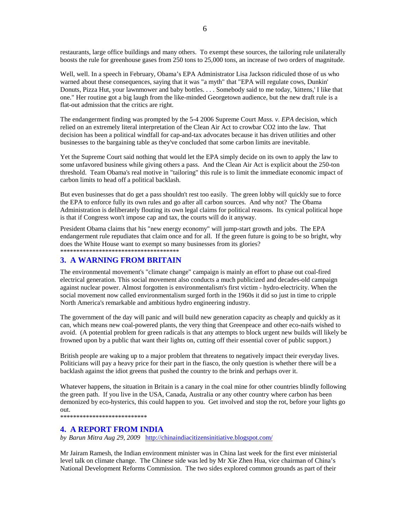restaurants, large office buildings and many others. To exempt these sources, the tailoring rule unilaterally boosts the rule for greenhouse gases from 250 tons to 25,000 tons, an increase of two orders of magnitude.

Well, well. In a speech in February, Obama's EPA Administrator Lisa Jackson ridiculed those of us who warned about these consequences, saying that it was "a myth" that "EPA will regulate cows, Dunkin' Donuts, Pizza Hut, your lawnmower and baby bottles. . . . Somebody said to me today, 'kittens,' I like that one." Her routine got a big laugh from the like-minded Georgetown audience, but the new draft rule is a flat-out admission that the critics are right.

The endangerment finding was prompted by the 5-4 2006 Supreme Court *Mass. v. EPA* decision, which relied on an extremely literal interpretation of the Clean Air Act to crowbar CO2 into the law. That decision has been a political windfall for cap-and-tax advocates because it has driven utilities and other businesses to the bargaining table as they've concluded that some carbon limits are inevitable.

Yet the Supreme Court said nothing that would let the EPA simply decide on its own to apply the law to some unfavored business while giving others a pass. And the Clean Air Act is explicit about the 250-ton threshold. Team Obama's real motive in "tailoring" this rule is to limit the immediate economic impact of carbon limits to head off a political backlash.

But even businesses that do get a pass shouldn't rest too easily. The green lobby will quickly sue to force the EPA to enforce fully its own rules and go after all carbon sources. And why not? The Obama Administration is deliberately flouting its own legal claims for political reasons. Its cynical political hope is that if Congress won't impose cap and tax, the courts will do it anyway.

President Obama claims that his "new energy economy" will jump-start growth and jobs. The EPA endangerment rule repudiates that claim once and for all. If the green future is going to be so bright, why does the White House want to exempt so many businesses from its glories? \*\*\*\*\*\*\*\*\*\*\*\*\*\*\*\*\*\*\*\*\*\*\*\*\*\*\*\*\*\*\*\*\*\*\*\*\*

## **3. A WARNING FROM BRITAIN**

The environmental movement's "climate change" campaign is mainly an effort to phase out coal-fired electrical generation. This social movement also conducts a much publicized and decades-old campaign against nuclear power. Almost forgotten is environmentalism's first victim - hydro-electricity. When the social movement now called environmentalism surged forth in the 1960s it did so just in time to cripple North America's remarkable and ambitious hydro engineering industry.

The government of the day will panic and will build new generation capacity as cheaply and quickly as it can, which means new coal-powered plants, the very thing that Greenpeace and other eco-naifs wished to avoid. (A potential problem for green radicals is that any attempts to block urgent new builds will likely be frowned upon by a public that want their lights on, cutting off their essential cover of public support.)

British people are waking up to a major problem that threatens to negatively impact their everyday lives. Politicians will pay a heavy price for their part in the fiasco, the only question is whether there will be a backlash against the idiot greens that pushed the country to the brink and perhaps over it.

Whatever happens, the situation in Britain is a canary in the coal mine for other countries blindly following the green path. If you live in the USA, Canada, Australia or any other country where carbon has been demonized by eco-hysterics, this could happen to you. Get involved and stop the rot, before your lights go out.

\*\*\*\*\*\*\*\*\*\*\*\*\*\*\*\*\*\*\*\*\*\*\*\*\*\*\*

## **4. A REPORT FROM INDIA**

*by Barun Mitra Aug 29, 2009* http://chinaindiacitizensinitiative.blogspot.com/

Mr Jairam Ramesh, the Indian environment minister was in China last week for the first ever ministerial level talk on climate change. The Chinese side was led by Mr Xie Zhen Hua, vice chairman of China's National Development Reforms Commission. The two sides explored common grounds as part of their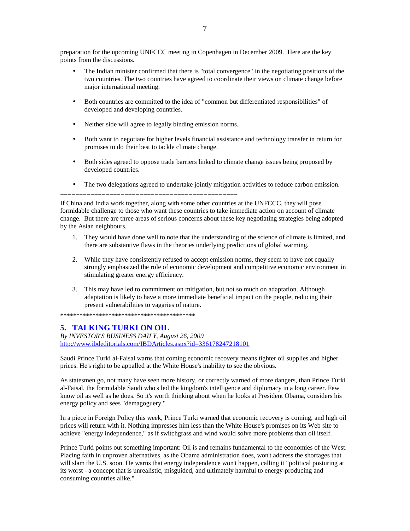preparation for the upcoming UNFCCC meeting in Copenhagen in December 2009. Here are the key points from the discussions.

- The Indian minister confirmed that there is "total convergence" in the negotiating positions of the two countries. The two countries have agreed to coordinate their views on climate change before major international meeting.
- Both countries are committed to the idea of "common but differentiated responsibilities" of developed and developing countries.
- Neither side will agree to legally binding emission norms.
- Both want to negotiate for higher levels financial assistance and technology transfer in return for promises to do their best to tackle climate change.
- Both sides agreed to oppose trade barriers linked to climate change issues being proposed by developed countries.
- The two delegations agreed to undertake jointly mitigation activities to reduce carbon emission.

## ===============================================

If China and India work together, along with some other countries at the UNFCCC, they will pose formidable challenge to those who want these countries to take immediate action on account of climate change. But there are three areas of serious concerns about these key negotiating strategies being adopted by the Asian neighbours.

- 1. They would have done well to note that the understanding of the science of climate is limited, and there are substantive flaws in the theories underlying predictions of global warming.
- 2. While they have consistently refused to accept emission norms, they seem to have not equally strongly emphasized the role of economic development and competitive economic environment in stimulating greater energy efficiency.
- 3. This may have led to commitment on mitigation, but not so much on adaptation. Although adaptation is likely to have a more immediate beneficial impact on the people, reducing their present vulnerabilities to vagaries of nature.

\*\*\*\*\*\*\*\*\*\*\*\*\*\*\*\*\*\*\*\*\*\*\*\*\*\*\*\*\*\*\*\*\*\*\*\*\*\*\*\*\*\*

## **5. TALKING TURKI ON OIL**

*By INVESTOR'S BUSINESS DAILY, August 26, 2009*  http://www.ibdeditorials.com/IBDArticles.aspx?id=336178247218101

Saudi Prince Turki al-Faisal warns that coming economic recovery means tighter oil supplies and higher prices. He's right to be appalled at the White House's inability to see the obvious.

As statesmen go, not many have seen more history, or correctly warned of more dangers, than Prince Turki al-Faisal, the formidable Saudi who's led the kingdom's intelligence and diplomacy in a long career. Few know oil as well as he does. So it's worth thinking about when he looks at President Obama, considers his energy policy and sees "demagoguery."

In a piece in Foreign Policy this week, Prince Turki warned that economic recovery is coming, and high oil prices will return with it. Nothing impresses him less than the White House's promises on its Web site to achieve "energy independence," as if switchgrass and wind would solve more problems than oil itself.

Prince Turki points out something important: Oil is and remains fundamental to the economies of the West. Placing faith in unproven alternatives, as the Obama administration does, won't address the shortages that will slam the U.S. soon. He warns that energy independence won't happen, calling it "political posturing at its worst - a concept that is unrealistic, misguided, and ultimately harmful to energy-producing and consuming countries alike."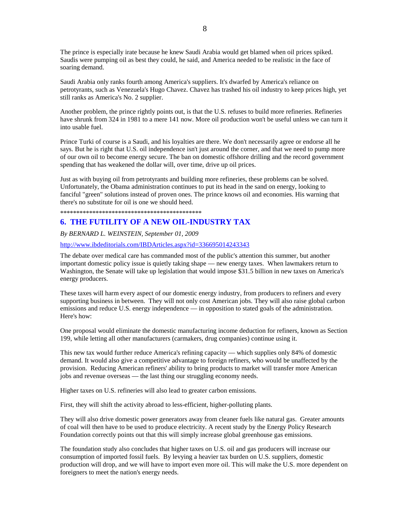The prince is especially irate because he knew Saudi Arabia would get blamed when oil prices spiked. Saudis were pumping oil as best they could, he said, and America needed to be realistic in the face of soaring demand.

Saudi Arabia only ranks fourth among America's suppliers. It's dwarfed by America's reliance on petrotyrants, such as Venezuela's Hugo Chavez. Chavez has trashed his oil industry to keep prices high, yet still ranks as America's No. 2 supplier.

Another problem, the prince rightly points out, is that the U.S. refuses to build more refineries. Refineries have shrunk from 324 in 1981 to a mere 141 now. More oil production won't be useful unless we can turn it into usable fuel.

Prince Turki of course is a Saudi, and his loyalties are there. We don't necessarily agree or endorse all he says. But he is right that U.S. oil independence isn't just around the corner, and that we need to pump more of our own oil to become energy secure. The ban on domestic offshore drilling and the record government spending that has weakened the dollar will, over time, drive up oil prices.

Just as with buying oil from petrotyrants and building more refineries, these problems can be solved. Unfortunately, the Obama administration continues to put its head in the sand on energy, looking to fanciful "green" solutions instead of proven ones. The prince knows oil and economies. His warning that there's no substitute for oil is one we should heed.

\*\*\*\*\*\*\*\*\*\*\*\*\*\*\*\*\*\*\*\*\*\*\*\*\*\*\*\*\*\*\*\*\*\*\*\*\*\*\*\*\*\*\*\*

## **6. THE FUTILITY OF A NEW OIL-INDUSTRY TAX**

*By BERNARD L. WEINSTEIN, September 01, 2009* 

http://www.ibdeditorials.com/IBDArticles.aspx?id=336695014243343

The debate over medical care has commanded most of the public's attention this summer, but another important domestic policy issue is quietly taking shape — new energy taxes. When lawmakers return to Washington, the Senate will take up legislation that would impose \$31.5 billion in new taxes on America's energy producers.

These taxes will harm every aspect of our domestic energy industry, from producers to refiners and every supporting business in between. They will not only cost American jobs. They will also raise global carbon emissions and reduce U.S. energy independence — in opposition to stated goals of the administration. Here's how:

One proposal would eliminate the domestic manufacturing income deduction for refiners, known as Section 199, while letting all other manufacturers (carmakers, drug companies) continue using it.

This new tax would further reduce America's refining capacity — which supplies only 84% of domestic demand. It would also give a competitive advantage to foreign refiners, who would be unaffected by the provision. Reducing American refiners' ability to bring products to market will transfer more American jobs and revenue overseas — the last thing our struggling economy needs.

Higher taxes on U.S. refineries will also lead to greater carbon emissions.

First, they will shift the activity abroad to less-efficient, higher-polluting plants.

They will also drive domestic power generators away from cleaner fuels like natural gas. Greater amounts of coal will then have to be used to produce electricity. A recent study by the Energy Policy Research Foundation correctly points out that this will simply increase global greenhouse gas emissions.

The foundation study also concludes that higher taxes on U.S. oil and gas producers will increase our consumption of imported fossil fuels. By levying a heavier tax burden on U.S. suppliers, domestic production will drop, and we will have to import even more oil. This will make the U.S. more dependent on foreigners to meet the nation's energy needs.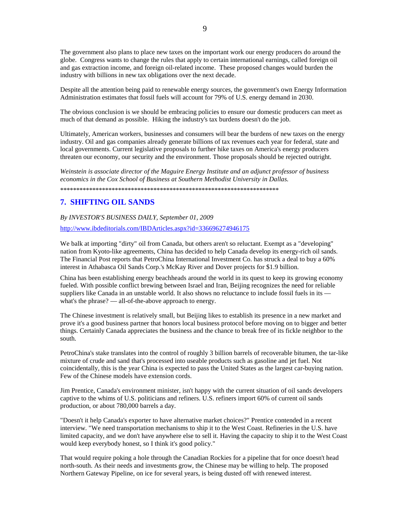The government also plans to place new taxes on the important work our energy producers do around the globe. Congress wants to change the rules that apply to certain international earnings, called foreign oil and gas extraction income, and foreign oil-related income. These proposed changes would burden the industry with billions in new tax obligations over the next decade.

Despite all the attention being paid to renewable energy sources, the government's own Energy Information Administration estimates that fossil fuels will account for 79% of U.S. energy demand in 2030.

The obvious conclusion is we should be embracing policies to ensure our domestic producers can meet as much of that demand as possible. Hiking the industry's tax burdens doesn't do the job.

Ultimately, American workers, businesses and consumers will bear the burdens of new taxes on the energy industry. Oil and gas companies already generate billions of tax revenues each year for federal, state and local governments. Current legislative proposals to further hike taxes on America's energy producers threaten our economy, our security and the environment. Those proposals should be rejected outright.

*Weinstein is associate director of the Maguire Energy Institute and an adjunct professor of business economics in the Cox School of Business at Southern Methodist University in Dallas.*

\*\*\*\*\*\*\*\*\*\*\*\*\*\*\*\*\*\*\*\*\*\*\*\*\*\*\*\*\*\*\*\*\*\*\*\*\*\*\*\*\*\*\*\*\*\*\*\*\*\*\*\*\*\*\*\*\*\*\*\*\*\*\*\*\*\*\*\*

## **7. SHIFTING OIL SANDS**

*By INVESTOR'S BUSINESS DAILY, September 01, 2009* 

http://www.ibdeditorials.com/IBDArticles.aspx?id=336696274946175

We balk at importing "dirty" oil from Canada, but others aren't so reluctant. Exempt as a "developing" nation from Kyoto-like agreements, China has decided to help Canada develop its energy-rich oil sands. The Financial Post reports that PetroChina International Investment Co. has struck a deal to buy a 60% interest in Athabasca Oil Sands Corp.'s McKay River and Dover projects for \$1.9 billion.

China has been establishing energy beachheads around the world in its quest to keep its growing economy fueled. With possible conflict brewing between Israel and Iran, Beijing recognizes the need for reliable suppliers like Canada in an unstable world. It also shows no reluctance to include fossil fuels in its what's the phrase? — all-of-the-above approach to energy.

The Chinese investment is relatively small, but Beijing likes to establish its presence in a new market and prove it's a good business partner that honors local business protocol before moving on to bigger and better things. Certainly Canada appreciates the business and the chance to break free of its fickle neighbor to the south.

PetroChina's stake translates into the control of roughly 3 billion barrels of recoverable bitumen, the tar-like mixture of crude and sand that's processed into useable products such as gasoline and jet fuel. Not coincidentally, this is the year China is expected to pass the United States as the largest car-buying nation. Few of the Chinese models have extension cords.

Jim Prentice, Canada's environment minister, isn't happy with the current situation of oil sands developers captive to the whims of U.S. politicians and refiners. U.S. refiners import 60% of current oil sands production, or about 780,000 barrels a day.

"Doesn't it help Canada's exporter to have alternative market choices?" Prentice contended in a recent interview. "We need transportation mechanisms to ship it to the West Coast. Refineries in the U.S. have limited capacity, and we don't have anywhere else to sell it. Having the capacity to ship it to the West Coast would keep everybody honest, so I think it's good policy."

That would require poking a hole through the Canadian Rockies for a pipeline that for once doesn't head north-south. As their needs and investments grow, the Chinese may be willing to help. The proposed Northern Gateway Pipeline, on ice for several years, is being dusted off with renewed interest.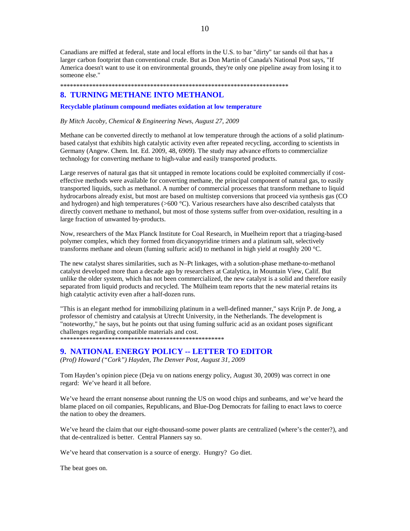Canadians are miffed at federal, state and local efforts in the U.S. to bar "dirty" tar sands oil that has a larger carbon footprint than conventional crude. But as Don Martin of Canada's National Post says, "If America doesn't want to use it on environmental grounds, they're only one pipeline away from losing it to someone else."

\*\*\*\*\*\*\*\*\*\*\*\*\*\*\*\*\*\*\*\*\*\*\*\*\*\*\*\*\*\*\*\*\*\*\*\*\*\*\*\*\*\*\*\*\*\*\*\*\*\*\*\*\*\*\*\*\*\*\*\*\*\*\*\*\*\*\*\*\*\*\*

## **8. TURNING METHANE INTO METHANOL**

## **Recyclable platinum compound mediates oxidation at low temperature**

### *By Mitch Jacoby, Chemical & Engineering News, August 27, 2009*

Methane can be converted directly to methanol at low temperature through the actions of a solid platinumbased catalyst that exhibits high catalytic activity even after repeated recycling, according to scientists in Germany (Angew. Chem. Int. Ed. 2009, 48, 6909). The study may advance efforts to commercialize technology for converting methane to high-value and easily transported products.

Large reserves of natural gas that sit untapped in remote locations could be exploited commercially if costeffective methods were available for converting methane, the principal component of natural gas, to easily transported liquids, such as methanol. A number of commercial processes that transform methane to liquid hydrocarbons already exist, but most are based on multistep conversions that proceed via synthesis gas (CO and hydrogen) and high temperatures ( $>600 \degree C$ ). Various researchers have also described catalysts that directly convert methane to methanol, but most of those systems suffer from over-oxidation, resulting in a large fraction of unwanted by-products.

Now, researchers of the Max Planck Institute for Coal Research, in Muelheim report that a triaging-based polymer complex, which they formed from dicyanopyridine trimers and a platinum salt, selectively transforms methane and oleum (fuming sulfuric acid) to methanol in high yield at roughly 200 °C.

The new catalyst shares similarities, such as N–Pt linkages, with a solution-phase methane-to-methanol catalyst developed more than a decade ago by researchers at Catalytica, in Mountain View, Calif. But unlike the older system, which has not been commercialized, the new catalyst is a solid and therefore easily separated from liquid products and recycled. The Mülheim team reports that the new material retains its high catalytic activity even after a half-dozen runs.

"This is an elegant method for immobilizing platinum in a well-defined manner," says Krijn P. de Jong, a professor of chemistry and catalysis at Utrecht University, in the Netherlands. The development is "noteworthy," he says, but he points out that using fuming sulfuric acid as an oxidant poses significant challenges regarding compatible materials and cost. \*\*\*\*\*\*\*\*\*\*\*\*\*\*\*\*\*\*\*\*\*\*\*\*\*\*\*\*\*\*\*\*\*\*\*\*\*\*\*\*\*\*\*\*\*\*\*\*\*\*\*

## **9. NATIONAL ENERGY POLICY -- LETTER TO EDITOR**

*(Prof) Howard ("Cork") Hayden, The Denver Post, August 31, 2009* 

Tom Hayden's opinion piece (Deja vu on nations energy policy, August 30, 2009) was correct in one regard: We've heard it all before.

We've heard the errant nonsense about running the US on wood chips and sunbeams, and we've heard the blame placed on oil companies, Republicans, and Blue-Dog Democrats for failing to enact laws to coerce the nation to obey the dreamers.

We've heard the claim that our eight-thousand-some power plants are centralized (where's the center?), and that de-centralized is better. Central Planners say so.

We've heard that conservation is a source of energy. Hungry? Go diet.

The beat goes on.